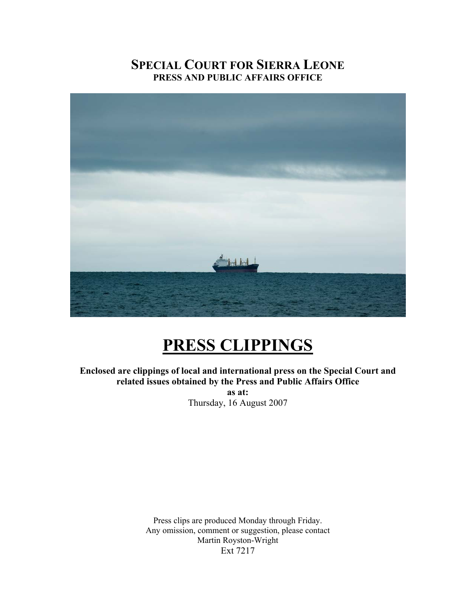# **SPECIAL COURT FOR SIERRA LEONE PRESS AND PUBLIC AFFAIRS OFFICE**



# **PRESS CLIPPINGS**

**Enclosed are clippings of local and international press on the Special Court and related issues obtained by the Press and Public Affairs Office as at:**  Thursday, 16 August 2007

> Press clips are produced Monday through Friday. Any omission, comment or suggestion, please contact Martin Royston-Wright Ext 7217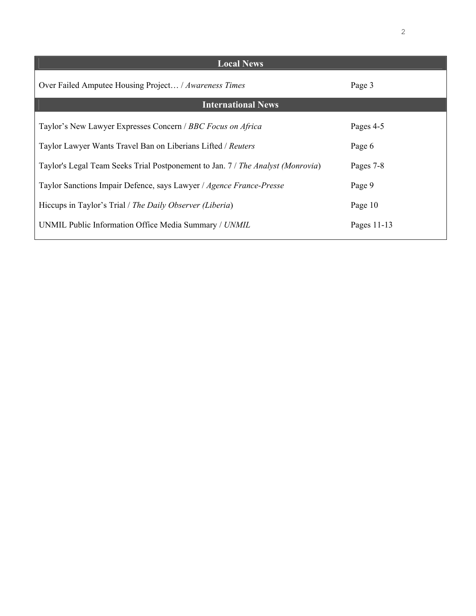| <b>Local News</b>                                                               |             |
|---------------------------------------------------------------------------------|-------------|
| Over Failed Amputee Housing Project / Awareness Times                           | Page 3      |
| <b>International News</b>                                                       |             |
| Taylor's New Lawyer Expresses Concern / BBC Focus on Africa                     | Pages 4-5   |
| Taylor Lawyer Wants Travel Ban on Liberians Lifted / Reuters                    | Page 6      |
| Taylor's Legal Team Seeks Trial Postponement to Jan. 7 / The Analyst (Monrovia) | Pages 7-8   |
| Taylor Sanctions Impair Defence, says Lawyer / Agence France-Presse             | Page 9      |
| Hiccups in Taylor's Trial / The Daily Observer (Liberia)                        | Page 10     |
| UNMIL Public Information Office Media Summary / UNMIL                           | Pages 11-13 |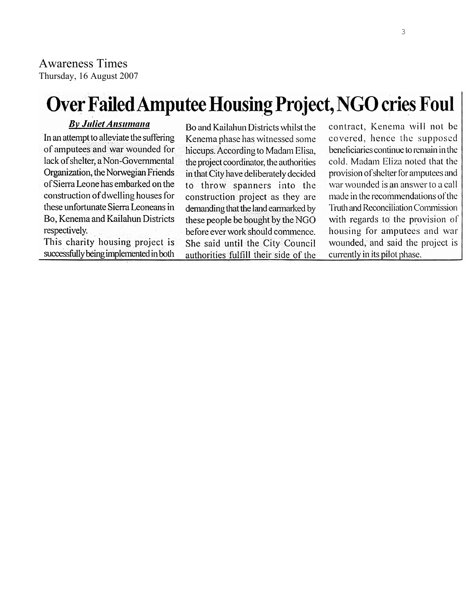### Awareness Times Thursday, 16 August 2007

# **Over Failed Amputee Housing Project, NGO cries Foul**

### **By Juliet Ansumana**

In an attempt to alleviate the suffering of amputees and war wounded for lack of shelter, a Non-Governmental Organization, the Norwegian Friends of Sierra Leone has embarked on the construction of dwelling houses for these unfortunate Sierra Leoneans in Bo, Kenema and Kailahun Districts respectively.

This charity housing project is successfully being implemented in both

Bo and Kailahun Districts whilst the Kenema phase has witnessed some hiccups. According to Madam Elisa, the project coordinator, the authorities in that City have deliberately decided to throw spanners into the construction project as they are demanding that the land earmarked by these people be bought by the NGO before ever work should commence. She said until the City Council authorities fulfill their side of the

contract, Kenema will not be covered, hence the supposed beneficiaries continue to remain in the cold. Madam Eliza noted that the provision of shelter for amputees and war wounded is an answer to a call made in the recommendations of the Truth and Reconciliation Commission with regards to the provision of housing for amputees and war wounded, and said the project is currently in its pilot phase.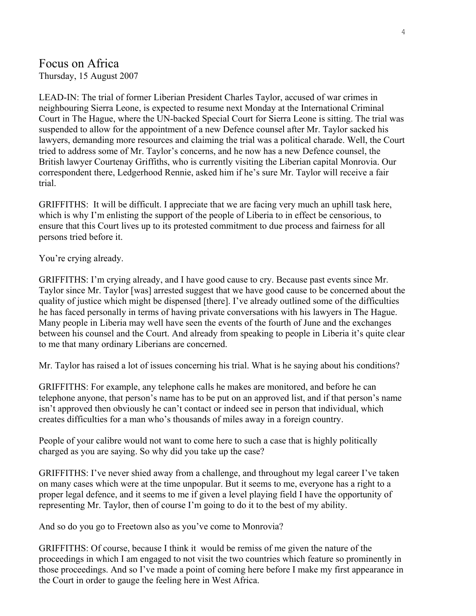# Focus on Africa

Thursday, 15 August 2007

LEAD-IN: The trial of former Liberian President Charles Taylor, accused of war crimes in neighbouring Sierra Leone, is expected to resume next Monday at the International Criminal Court in The Hague, where the UN-backed Special Court for Sierra Leone is sitting. The trial was suspended to allow for the appointment of a new Defence counsel after Mr. Taylor sacked his lawyers, demanding more resources and claiming the trial was a political charade. Well, the Court tried to address some of Mr. Taylor's concerns, and he now has a new Defence counsel, the British lawyer Courtenay Griffiths, who is currently visiting the Liberian capital Monrovia. Our correspondent there, Ledgerhood Rennie, asked him if he's sure Mr. Taylor will receive a fair trial.

GRIFFITHS: It will be difficult. I appreciate that we are facing very much an uphill task here, which is why I'm enlisting the support of the people of Liberia to in effect be censorious, to ensure that this Court lives up to its protested commitment to due process and fairness for all persons tried before it.

You're crying already.

GRIFFITHS: I'm crying already, and I have good cause to cry. Because past events since Mr. Taylor since Mr. Taylor [was] arrested suggest that we have good cause to be concerned about the quality of justice which might be dispensed [there]. I've already outlined some of the difficulties he has faced personally in terms of having private conversations with his lawyers in The Hague. Many people in Liberia may well have seen the events of the fourth of June and the exchanges between his counsel and the Court. And already from speaking to people in Liberia it's quite clear to me that many ordinary Liberians are concerned.

Mr. Taylor has raised a lot of issues concerning his trial. What is he saying about his conditions?

GRIFFITHS: For example, any telephone calls he makes are monitored, and before he can telephone anyone, that person's name has to be put on an approved list, and if that person's name isn't approved then obviously he can't contact or indeed see in person that individual, which creates difficulties for a man who's thousands of miles away in a foreign country.

People of your calibre would not want to come here to such a case that is highly politically charged as you are saying. So why did you take up the case?

GRIFFITHS: I've never shied away from a challenge, and throughout my legal career I've taken on many cases which were at the time unpopular. But it seems to me, everyone has a right to a proper legal defence, and it seems to me if given a level playing field I have the opportunity of representing Mr. Taylor, then of course I'm going to do it to the best of my ability.

And so do you go to Freetown also as you've come to Monrovia?

GRIFFITHS: Of course, because I think it would be remiss of me given the nature of the proceedings in which I am engaged to not visit the two countries which feature so prominently in those proceedings. And so I've made a point of coming here before I make my first appearance in the Court in order to gauge the feeling here in West Africa.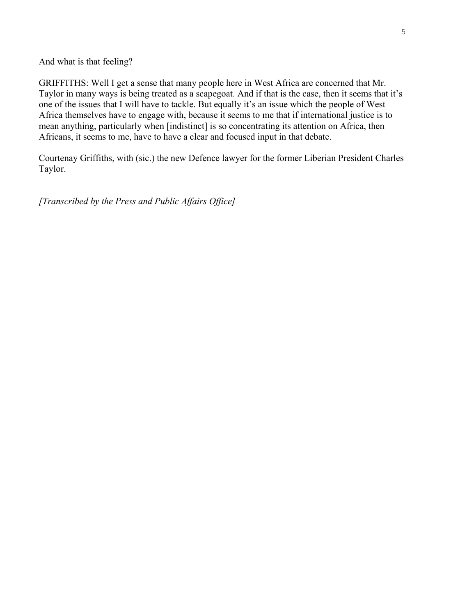And what is that feeling?

GRIFFITHS: Well I get a sense that many people here in West Africa are concerned that Mr. Taylor in many ways is being treated as a scapegoat. And if that is the case, then it seems that it's one of the issues that I will have to tackle. But equally it's an issue which the people of West Africa themselves have to engage with, because it seems to me that if international justice is to mean anything, particularly when [indistinct] is so concentrating its attention on Africa, then Africans, it seems to me, have to have a clear and focused input in that debate.

Courtenay Griffiths, with (sic.) the new Defence lawyer for the former Liberian President Charles Taylor.

*[Transcribed by the Press and Public Affairs Office]*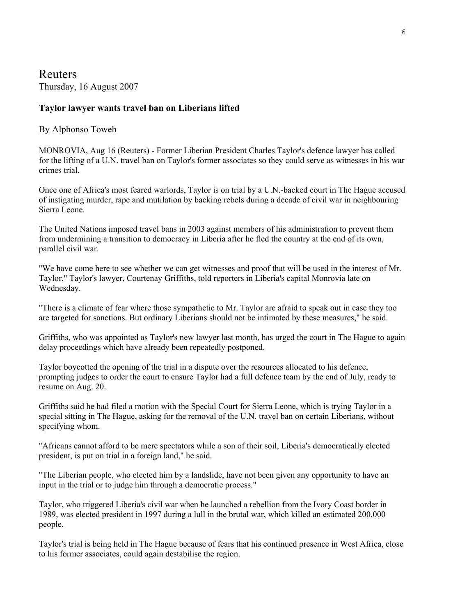### **Reuters** Thursday, 16 August 2007

### **Taylor lawyer wants travel ban on Liberians lifted**

### By Alphonso Toweh

MONROVIA, Aug 16 (Reuters) - Former Liberian President Charles Taylor's defence lawyer has called for the lifting of a U.N. travel ban on Taylor's former associates so they could serve as witnesses in his war crimes trial.

Once one of Africa's most feared warlords, Taylor is on trial by a U.N.-backed court in The Hague accused of instigating murder, rape and mutilation by backing rebels during a decade of civil war in neighbouring Sierra Leone.

The United Nations imposed travel bans in 2003 against members of his administration to prevent them from undermining a transition to democracy in Liberia after he fled the country at the end of its own, parallel civil war.

"We have come here to see whether we can get witnesses and proof that will be used in the interest of Mr. Taylor," Taylor's lawyer, Courtenay Griffiths, told reporters in Liberia's capital Monrovia late on Wednesday.

"There is a climate of fear where those sympathetic to Mr. Taylor are afraid to speak out in case they too are targeted for sanctions. But ordinary Liberians should not be intimated by these measures," he said.

Griffiths, who was appointed as Taylor's new lawyer last month, has urged the court in The Hague to again delay proceedings which have already been repeatedly postponed.

Taylor boycotted the opening of the trial in a dispute over the resources allocated to his defence, prompting judges to order the court to ensure Taylor had a full defence team by the end of July, ready to resume on Aug. 20.

Griffiths said he had filed a motion with the Special Court for Sierra Leone, which is trying Taylor in a special sitting in The Hague, asking for the removal of the U.N. travel ban on certain Liberians, without specifying whom.

"Africans cannot afford to be mere spectators while a son of their soil, Liberia's democratically elected president, is put on trial in a foreign land," he said.

"The Liberian people, who elected him by a landslide, have not been given any opportunity to have an input in the trial or to judge him through a democratic process."

Taylor, who triggered Liberia's civil war when he launched a rebellion from the Ivory Coast border in 1989, was elected president in 1997 during a lull in the brutal war, which killed an estimated 200,000 people.

Taylor's trial is being held in The Hague because of fears that his continued presence in West Africa, close to his former associates, could again destabilise the region.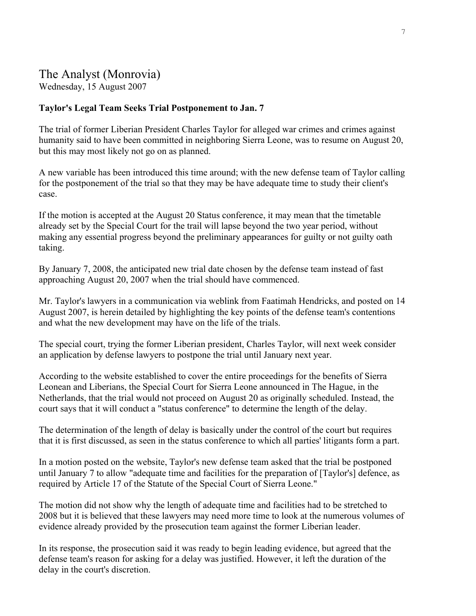### The Analyst (Monrovia) Wednesday, 15 August 2007

#### **Taylor's Legal Team Seeks Trial Postponement to Jan. 7**

The trial of former Liberian President Charles Taylor for alleged war crimes and crimes against humanity said to have been committed in neighboring Sierra Leone, was to resume on August 20, but this may most likely not go on as planned.

A new variable has been introduced this time around; with the new defense team of Taylor calling for the postponement of the trial so that they may be have adequate time to study their client's case.

If the motion is accepted at the August 20 Status conference, it may mean that the timetable already set by the Special Court for the trail will lapse beyond the two year period, without making any essential progress beyond the preliminary appearances for guilty or not guilty oath taking.

By January 7, 2008, the anticipated new trial date chosen by the defense team instead of fast approaching August 20, 2007 when the trial should have commenced.

Mr. Taylor's lawyers in a communication via weblink from Faatimah Hendricks, and posted on 14 August 2007, is herein detailed by highlighting the key points of the defense team's contentions and what the new development may have on the life of the trials.

The special court, trying the former Liberian president, Charles Taylor, will next week consider an application by defense lawyers to postpone the trial until January next year.

According to the website established to cover the entire proceedings for the benefits of Sierra Leonean and Liberians, the Special Court for Sierra Leone announced in The Hague, in the Netherlands, that the trial would not proceed on August 20 as originally scheduled. Instead, the court says that it will conduct a "status conference" to determine the length of the delay.

The determination of the length of delay is basically under the control of the court but requires that it is first discussed, as seen in the status conference to which all parties' litigants form a part.

In a motion posted on the website, Taylor's new defense team asked that the trial be postponed until January 7 to allow "adequate time and facilities for the preparation of [Taylor's] defence, as required by Article 17 of the Statute of the Special Court of Sierra Leone."

The motion did not show why the length of adequate time and facilities had to be stretched to 2008 but it is believed that these lawyers may need more time to look at the numerous volumes of evidence already provided by the prosecution team against the former Liberian leader.

In its response, the prosecution said it was ready to begin leading evidence, but agreed that the defense team's reason for asking for a delay was justified. However, it left the duration of the delay in the court's discretion.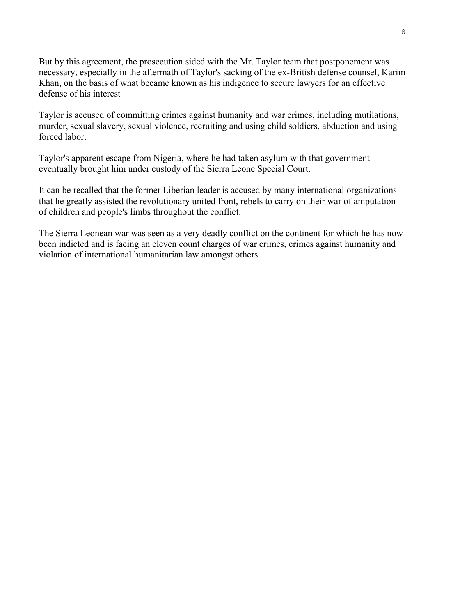But by this agreement, the prosecution sided with the Mr. Taylor team that postponement was necessary, especially in the aftermath of Taylor's sacking of the ex-British defense counsel, Karim Khan, on the basis of what became known as his indigence to secure lawyers for an effective defense of his interest

Taylor is accused of committing crimes against humanity and war crimes, including mutilations, murder, sexual slavery, sexual violence, recruiting and using child soldiers, abduction and using forced labor.

Taylor's apparent escape from Nigeria, where he had taken asylum with that government eventually brought him under custody of the Sierra Leone Special Court.

It can be recalled that the former Liberian leader is accused by many international organizations that he greatly assisted the revolutionary united front, rebels to carry on their war of amputation of children and people's limbs throughout the conflict.

The Sierra Leonean war was seen as a very deadly conflict on the continent for which he has now been indicted and is facing an eleven count charges of war crimes, crimes against humanity and violation of international humanitarian law amongst others.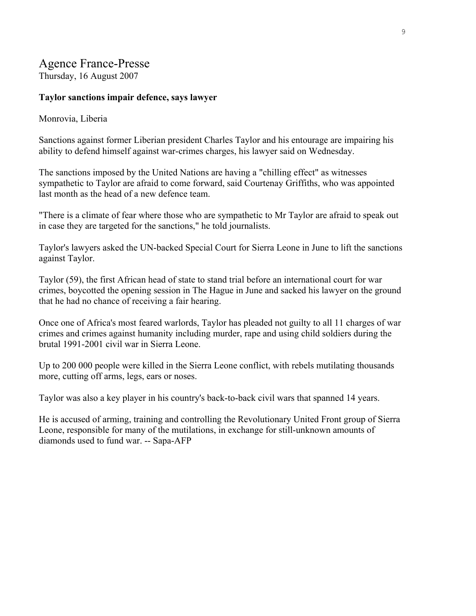# Agence France-Presse

Thursday, 16 August 2007

### **Taylor sanctions impair defence, says lawyer**

### Monrovia, Liberia

Sanctions against former Liberian president Charles Taylor and his entourage are impairing his ability to defend himself against war-crimes charges, his lawyer said on Wednesday.

The sanctions imposed by the United Nations are having a "chilling effect" as witnesses sympathetic to Taylor are afraid to come forward, said Courtenay Griffiths, who was appointed last month as the head of a new defence team.

"There is a climate of fear where those who are sympathetic to Mr Taylor are afraid to speak out in case they are targeted for the sanctions," he told journalists.

Taylor's lawyers asked the UN-backed Special Court for Sierra Leone in June to lift the sanctions against Taylor.

Taylor (59), the first African head of state to stand trial before an international court for war crimes, boycotted the opening session in The Hague in June and sacked his lawyer on the ground that he had no chance of receiving a fair hearing.

Once one of Africa's most feared warlords, Taylor has pleaded not guilty to all 11 charges of war crimes and crimes against humanity including murder, rape and using child soldiers during the brutal 1991-2001 civil war in Sierra Leone.

Up to 200 000 people were killed in the Sierra Leone conflict, with rebels mutilating thousands more, cutting off arms, legs, ears or noses.

Taylor was also a key player in his country's back-to-back civil wars that spanned 14 years.

He is accused of arming, training and controlling the Revolutionary United Front group of Sierra Leone, responsible for many of the mutilations, in exchange for still-unknown amounts of diamonds used to fund war. -- Sapa-AFP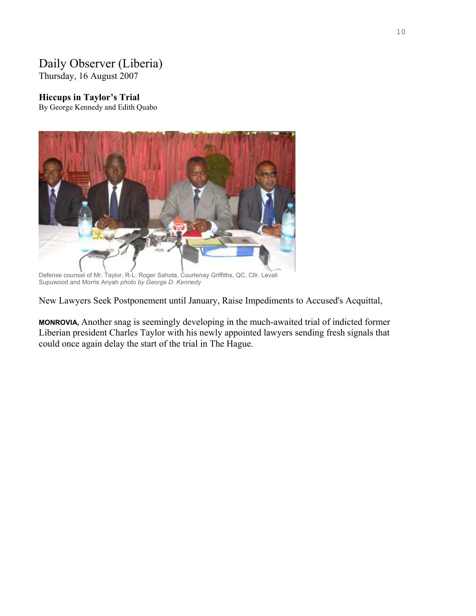# Daily Observer (Liberia)

Thursday, 16 August 2007

### **Hiccups in Taylor's Trial**

By George Kennedy and Edith Quabo



Defense counsel of Mr. Taylor, R-L: Roger Sahota, Courtenay Griffiths, QC, Cllr. Levali Supuwood and Morris Anyah *photo by George D. Kennedy*

New Lawyers Seek Postponement until January, Raise Impediments to Accused's Acquittal,

**MONROVIA,** Another snag is seemingly developing in the much-awaited trial of indicted former Liberian president Charles Taylor with his newly appointed lawyers sending fresh signals that could once again delay the start of the trial in The Hague.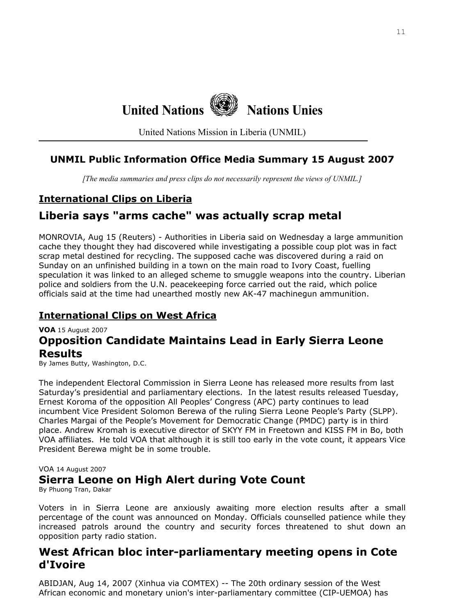

United Nations Mission in Liberia (UNMIL)

## **UNMIL Public Information Office Media Summary 15 August 2007**

*[The media summaries and press clips do not necessarily represent the views of UNMIL.]*

## **International Clips on Liberia**

# **Liberia says "arms cache" was actually scrap metal**

MONROVIA, Aug 15 (Reuters) - Authorities in Liberia said on Wednesday a large ammunition cache they thought they had discovered while investigating a possible coup plot was in fact scrap metal destined for recycling. The supposed cache was discovered during a raid on Sunday on an unfinished building in a town on the main road to Ivory Coast, fuelling speculation it was linked to an alleged scheme to smuggle weapons into the country. Liberian police and soldiers from the U.N. peacekeeping force carried out the raid, which police officials said at the time had unearthed mostly new AK-47 machinegun ammunition.

# **International Clips on West Africa**

**VOA** 15 August 2007

# **Opposition Candidate Maintains Lead in Early Sierra Leone Results**

By James Butty, Washington, D.C.

The independent Electoral Commission in Sierra Leone has released more results from last Saturday's presidential and parliamentary elections. In the latest results released Tuesday, Ernest Koroma of the opposition All Peoples' Congress (APC) party continues to lead incumbent Vice President Solomon Berewa of the ruling Sierra Leone People's Party (SLPP). Charles Margai of the People's Movement for Democratic Change (PMDC) party is in third place. Andrew Kromah is executive director of SKYY FM in Freetown and KISS FM in Bo, both VOA affiliates. He told VOA that although it is still too early in the vote count, it appears Vice President Berewa might be in some trouble.

#### VOA 14 August 2007

# **Sierra Leone on High Alert during Vote Count**

By Phuong Tran, Dakar

Voters in in Sierra Leone are anxiously awaiting more election results after a small percentage of the count was announced on Monday. Officials counselled patience while they increased patrols around the country and security forces threatened to shut down an opposition party radio station.

# **West African bloc inter-parliamentary meeting opens in Cote d'Ivoire**

ABIDJAN, Aug 14, 2007 (Xinhua via COMTEX) -- The 20th ordinary session of the West African economic and monetary union's inter-parliamentary committee (CIP-UEMOA) has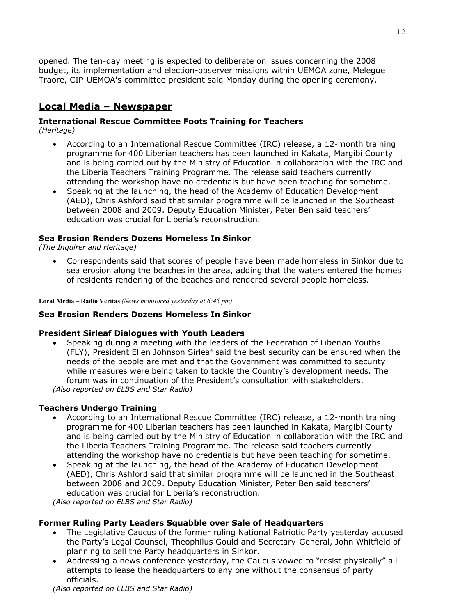opened. The ten-day meeting is expected to deliberate on issues concerning the 2008 budget, its implementation and election-observer missions within UEMOA zone, Melegue Traore, CIP-UEMOA's committee president said Monday during the opening ceremony.

# **Local Media – Newspaper**

#### **International Rescue Committee Foots Training for Teachers**  *(Heritage)*

- According to an International Rescue Committee (IRC) release, a 12-month training programme for 400 Liberian teachers has been launched in Kakata, Margibi County and is being carried out by the Ministry of Education in collaboration with the IRC and the Liberia Teachers Training Programme. The release said teachers currently attending the workshop have no credentials but have been teaching for sometime.
- Speaking at the launching, the head of the Academy of Education Development (AED), Chris Ashford said that similar programme will be launched in the Southeast between 2008 and 2009. Deputy Education Minister, Peter Ben said teachers' education was crucial for Liberia's reconstruction.

### **Sea Erosion Renders Dozens Homeless In Sinkor**

*(The Inquirer and Heritage)* 

• Correspondents said that scores of people have been made homeless in Sinkor due to sea erosion along the beaches in the area, adding that the waters entered the homes of residents rendering of the beaches and rendered several people homeless.

**Local Media – Radio Veritas** *(News monitored yesterday at 6:45 pm)* 

#### **Sea Erosion Renders Dozens Homeless In Sinkor**

#### **President Sirleaf Dialogues with Youth Leaders**

• Speaking during a meeting with the leaders of the Federation of Liberian Youths (FLY), President Ellen Johnson Sirleaf said the best security can be ensured when the needs of the people are met and that the Government was committed to security while measures were being taken to tackle the Country's development needs. The forum was in continuation of the President's consultation with stakeholders. *(Also reported on ELBS and Star Radio)*

### **Teachers Undergo Training**

- According to an International Rescue Committee (IRC) release, a 12-month training programme for 400 Liberian teachers has been launched in Kakata, Margibi County and is being carried out by the Ministry of Education in collaboration with the IRC and the Liberia Teachers Training Programme. The release said teachers currently attending the workshop have no credentials but have been teaching for sometime.
- Speaking at the launching, the head of the Academy of Education Development (AED), Chris Ashford said that similar programme will be launched in the Southeast between 2008 and 2009. Deputy Education Minister, Peter Ben said teachers' education was crucial for Liberia's reconstruction.

*(Also reported on ELBS and Star Radio)*

### **Former Ruling Party Leaders Squabble over Sale of Headquarters**

- The Legislative Caucus of the former ruling National Patriotic Party yesterday accused the Party's Legal Counsel, Theophilus Gould and Secretary-General, John Whitfield of planning to sell the Party headquarters in Sinkor.
- Addressing a news conference yesterday, the Caucus vowed to "resist physically" all attempts to lease the headquarters to any one without the consensus of party officials.

*(Also reported on ELBS and Star Radio)*